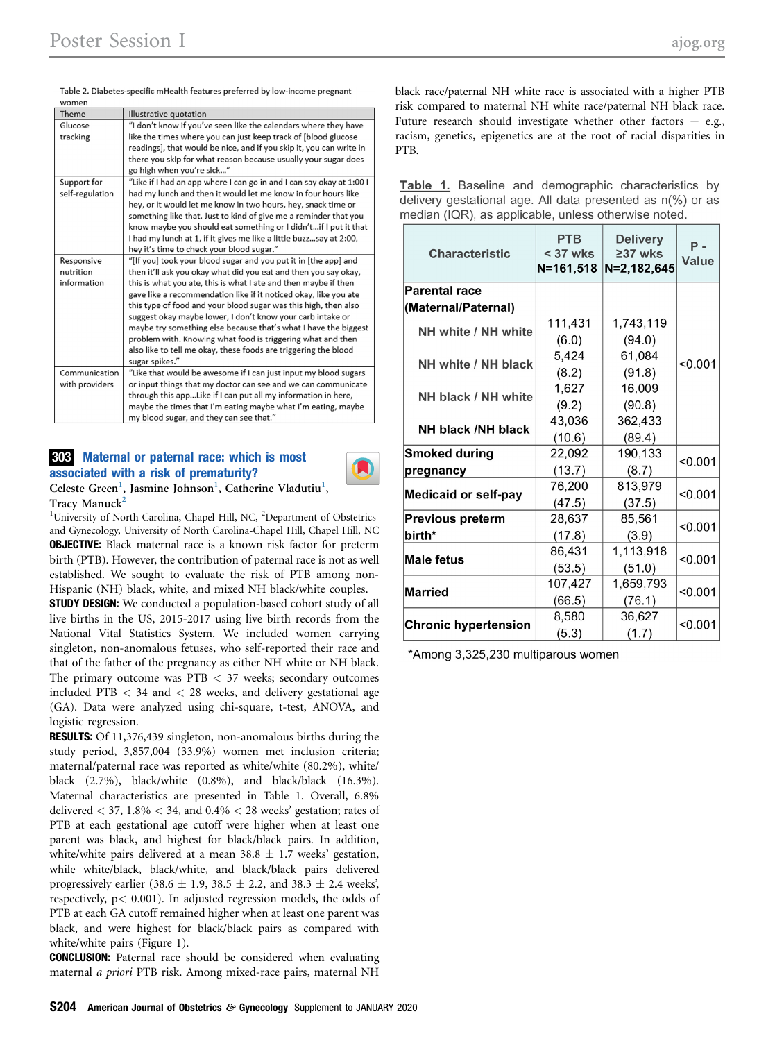Table 2. Diabetes-specific mHealth features preferred by low-income pregnant

| Theme<br>Illustrative quotation<br>Glucose<br>"I don't know if you've seen like the calendars where they have<br>like the times where you can just keep track of [blood glucose<br>tracking<br>readings], that would be nice, and if you skip it, you can write in<br>there you skip for what reason because usually your sugar does<br>go high when you're sick"<br>"Like if I had an app where I can go in and I can say okay at 1:00 I<br>Support for<br>had my lunch and then it would let me know in four hours like<br>self-regulation<br>hey, or it would let me know in two hours, hey, snack time or<br>something like that. Just to kind of give me a reminder that you<br>know maybe you should eat something or I didn'tif I put it that<br>I had my lunch at 1, if it gives me like a little buzzsay at 2:00,<br>hey it's time to check your blood sugar."<br>"[If you] took your blood sugar and you put it in [the app] and<br>Responsive<br>then it'll ask you okay what did you eat and then you say okay,<br>nutrition<br>information<br>this is what you ate, this is what I ate and then maybe if then<br>gave like a recommendation like if it noticed okay, like you ate<br>this type of food and your blood sugar was this high, then also<br>suggest okay maybe lower, I don't know your carb intake or<br>maybe try something else because that's what I have the biggest<br>problem with. Knowing what food is triggering what and then<br>also like to tell me okay, these foods are triggering the blood<br>sugar spikes."<br>Communication<br>"Like that would be awesome if I can just input my blood sugars<br>or input things that my doctor can see and we can communicate<br>with providers<br>through this appLike if I can put all my information in here,<br>maybe the times that I'm eating maybe what I'm eating, maybe<br>my blood sugar, and they can see that." | women |  |  |  |  |
|-----------------------------------------------------------------------------------------------------------------------------------------------------------------------------------------------------------------------------------------------------------------------------------------------------------------------------------------------------------------------------------------------------------------------------------------------------------------------------------------------------------------------------------------------------------------------------------------------------------------------------------------------------------------------------------------------------------------------------------------------------------------------------------------------------------------------------------------------------------------------------------------------------------------------------------------------------------------------------------------------------------------------------------------------------------------------------------------------------------------------------------------------------------------------------------------------------------------------------------------------------------------------------------------------------------------------------------------------------------------------------------------------------------------------------------------------------------------------------------------------------------------------------------------------------------------------------------------------------------------------------------------------------------------------------------------------------------------------------------------------------------------------------------------------------------------------------------------------------------------------------------------------------------|-------|--|--|--|--|
|                                                                                                                                                                                                                                                                                                                                                                                                                                                                                                                                                                                                                                                                                                                                                                                                                                                                                                                                                                                                                                                                                                                                                                                                                                                                                                                                                                                                                                                                                                                                                                                                                                                                                                                                                                                                                                                                                                           |       |  |  |  |  |
|                                                                                                                                                                                                                                                                                                                                                                                                                                                                                                                                                                                                                                                                                                                                                                                                                                                                                                                                                                                                                                                                                                                                                                                                                                                                                                                                                                                                                                                                                                                                                                                                                                                                                                                                                                                                                                                                                                           |       |  |  |  |  |
|                                                                                                                                                                                                                                                                                                                                                                                                                                                                                                                                                                                                                                                                                                                                                                                                                                                                                                                                                                                                                                                                                                                                                                                                                                                                                                                                                                                                                                                                                                                                                                                                                                                                                                                                                                                                                                                                                                           |       |  |  |  |  |
|                                                                                                                                                                                                                                                                                                                                                                                                                                                                                                                                                                                                                                                                                                                                                                                                                                                                                                                                                                                                                                                                                                                                                                                                                                                                                                                                                                                                                                                                                                                                                                                                                                                                                                                                                                                                                                                                                                           |       |  |  |  |  |
|                                                                                                                                                                                                                                                                                                                                                                                                                                                                                                                                                                                                                                                                                                                                                                                                                                                                                                                                                                                                                                                                                                                                                                                                                                                                                                                                                                                                                                                                                                                                                                                                                                                                                                                                                                                                                                                                                                           |       |  |  |  |  |
|                                                                                                                                                                                                                                                                                                                                                                                                                                                                                                                                                                                                                                                                                                                                                                                                                                                                                                                                                                                                                                                                                                                                                                                                                                                                                                                                                                                                                                                                                                                                                                                                                                                                                                                                                                                                                                                                                                           |       |  |  |  |  |
|                                                                                                                                                                                                                                                                                                                                                                                                                                                                                                                                                                                                                                                                                                                                                                                                                                                                                                                                                                                                                                                                                                                                                                                                                                                                                                                                                                                                                                                                                                                                                                                                                                                                                                                                                                                                                                                                                                           |       |  |  |  |  |
|                                                                                                                                                                                                                                                                                                                                                                                                                                                                                                                                                                                                                                                                                                                                                                                                                                                                                                                                                                                                                                                                                                                                                                                                                                                                                                                                                                                                                                                                                                                                                                                                                                                                                                                                                                                                                                                                                                           |       |  |  |  |  |
|                                                                                                                                                                                                                                                                                                                                                                                                                                                                                                                                                                                                                                                                                                                                                                                                                                                                                                                                                                                                                                                                                                                                                                                                                                                                                                                                                                                                                                                                                                                                                                                                                                                                                                                                                                                                                                                                                                           |       |  |  |  |  |
|                                                                                                                                                                                                                                                                                                                                                                                                                                                                                                                                                                                                                                                                                                                                                                                                                                                                                                                                                                                                                                                                                                                                                                                                                                                                                                                                                                                                                                                                                                                                                                                                                                                                                                                                                                                                                                                                                                           |       |  |  |  |  |
|                                                                                                                                                                                                                                                                                                                                                                                                                                                                                                                                                                                                                                                                                                                                                                                                                                                                                                                                                                                                                                                                                                                                                                                                                                                                                                                                                                                                                                                                                                                                                                                                                                                                                                                                                                                                                                                                                                           |       |  |  |  |  |
|                                                                                                                                                                                                                                                                                                                                                                                                                                                                                                                                                                                                                                                                                                                                                                                                                                                                                                                                                                                                                                                                                                                                                                                                                                                                                                                                                                                                                                                                                                                                                                                                                                                                                                                                                                                                                                                                                                           |       |  |  |  |  |
|                                                                                                                                                                                                                                                                                                                                                                                                                                                                                                                                                                                                                                                                                                                                                                                                                                                                                                                                                                                                                                                                                                                                                                                                                                                                                                                                                                                                                                                                                                                                                                                                                                                                                                                                                                                                                                                                                                           |       |  |  |  |  |
|                                                                                                                                                                                                                                                                                                                                                                                                                                                                                                                                                                                                                                                                                                                                                                                                                                                                                                                                                                                                                                                                                                                                                                                                                                                                                                                                                                                                                                                                                                                                                                                                                                                                                                                                                                                                                                                                                                           |       |  |  |  |  |
|                                                                                                                                                                                                                                                                                                                                                                                                                                                                                                                                                                                                                                                                                                                                                                                                                                                                                                                                                                                                                                                                                                                                                                                                                                                                                                                                                                                                                                                                                                                                                                                                                                                                                                                                                                                                                                                                                                           |       |  |  |  |  |
|                                                                                                                                                                                                                                                                                                                                                                                                                                                                                                                                                                                                                                                                                                                                                                                                                                                                                                                                                                                                                                                                                                                                                                                                                                                                                                                                                                                                                                                                                                                                                                                                                                                                                                                                                                                                                                                                                                           |       |  |  |  |  |
|                                                                                                                                                                                                                                                                                                                                                                                                                                                                                                                                                                                                                                                                                                                                                                                                                                                                                                                                                                                                                                                                                                                                                                                                                                                                                                                                                                                                                                                                                                                                                                                                                                                                                                                                                                                                                                                                                                           |       |  |  |  |  |
|                                                                                                                                                                                                                                                                                                                                                                                                                                                                                                                                                                                                                                                                                                                                                                                                                                                                                                                                                                                                                                                                                                                                                                                                                                                                                                                                                                                                                                                                                                                                                                                                                                                                                                                                                                                                                                                                                                           |       |  |  |  |  |
|                                                                                                                                                                                                                                                                                                                                                                                                                                                                                                                                                                                                                                                                                                                                                                                                                                                                                                                                                                                                                                                                                                                                                                                                                                                                                                                                                                                                                                                                                                                                                                                                                                                                                                                                                                                                                                                                                                           |       |  |  |  |  |
|                                                                                                                                                                                                                                                                                                                                                                                                                                                                                                                                                                                                                                                                                                                                                                                                                                                                                                                                                                                                                                                                                                                                                                                                                                                                                                                                                                                                                                                                                                                                                                                                                                                                                                                                                                                                                                                                                                           |       |  |  |  |  |
|                                                                                                                                                                                                                                                                                                                                                                                                                                                                                                                                                                                                                                                                                                                                                                                                                                                                                                                                                                                                                                                                                                                                                                                                                                                                                                                                                                                                                                                                                                                                                                                                                                                                                                                                                                                                                                                                                                           |       |  |  |  |  |
|                                                                                                                                                                                                                                                                                                                                                                                                                                                                                                                                                                                                                                                                                                                                                                                                                                                                                                                                                                                                                                                                                                                                                                                                                                                                                                                                                                                                                                                                                                                                                                                                                                                                                                                                                                                                                                                                                                           |       |  |  |  |  |
|                                                                                                                                                                                                                                                                                                                                                                                                                                                                                                                                                                                                                                                                                                                                                                                                                                                                                                                                                                                                                                                                                                                                                                                                                                                                                                                                                                                                                                                                                                                                                                                                                                                                                                                                                                                                                                                                                                           |       |  |  |  |  |
|                                                                                                                                                                                                                                                                                                                                                                                                                                                                                                                                                                                                                                                                                                                                                                                                                                                                                                                                                                                                                                                                                                                                                                                                                                                                                                                                                                                                                                                                                                                                                                                                                                                                                                                                                                                                                                                                                                           |       |  |  |  |  |
|                                                                                                                                                                                                                                                                                                                                                                                                                                                                                                                                                                                                                                                                                                                                                                                                                                                                                                                                                                                                                                                                                                                                                                                                                                                                                                                                                                                                                                                                                                                                                                                                                                                                                                                                                                                                                                                                                                           |       |  |  |  |  |
|                                                                                                                                                                                                                                                                                                                                                                                                                                                                                                                                                                                                                                                                                                                                                                                                                                                                                                                                                                                                                                                                                                                                                                                                                                                                                                                                                                                                                                                                                                                                                                                                                                                                                                                                                                                                                                                                                                           |       |  |  |  |  |
|                                                                                                                                                                                                                                                                                                                                                                                                                                                                                                                                                                                                                                                                                                                                                                                                                                                                                                                                                                                                                                                                                                                                                                                                                                                                                                                                                                                                                                                                                                                                                                                                                                                                                                                                                                                                                                                                                                           |       |  |  |  |  |
|                                                                                                                                                                                                                                                                                                                                                                                                                                                                                                                                                                                                                                                                                                                                                                                                                                                                                                                                                                                                                                                                                                                                                                                                                                                                                                                                                                                                                                                                                                                                                                                                                                                                                                                                                                                                                                                                                                           |       |  |  |  |  |

## 303 Maternal or paternal race: which is most associated with a risk of prematurity?

Celeste Green<sup>1</sup>, Jasmine Johnson<sup>1</sup>, Catherine Vladutiu<sup>1</sup>,  $Trace$  Manuck<sup>2</sup>

<sup>1</sup>University of North Carolina, Chapel Hill, NC, <sup>2</sup>Department of Obstetrics and Gynecology, University of North Carolina-Chapel Hill, Chapel Hill, NC **OBJECTIVE:** Black maternal race is a known risk factor for preterm birth (PTB). However, the contribution of paternal race is not as well established. We sought to evaluate the risk of PTB among non-Hispanic (NH) black, white, and mixed NH black/white couples.

**STUDY DESIGN:** We conducted a population-based cohort study of all live births in the US, 2015-2017 using live birth records from the National Vital Statistics System. We included women carrying singleton, non-anomalous fetuses, who self-reported their race and that of the father of the pregnancy as either NH white or NH black. The primary outcome was  $PTB < 37$  weeks; secondary outcomes included PTB  $<$  34 and  $<$  28 weeks, and delivery gestational age (GA). Data were analyzed using chi-square, t-test, ANOVA, and logistic regression.

RESULTS: Of 11,376,439 singleton, non-anomalous births during the study period, 3,857,004 (33.9%) women met inclusion criteria; maternal/paternal race was reported as white/white (80.2%), white/ black (2.7%), black/white (0.8%), and black/black (16.3%). Maternal characteristics are presented in Table 1. Overall, 6.8% delivered  $<$  37, 1.8%  $<$  34, and 0.4%  $<$  28 weeks' gestation; rates of PTB at each gestational age cutoff were higher when at least one parent was black, and highest for black/black pairs. In addition, white/white pairs delivered at a mean 38.8  $\pm$  1.7 weeks' gestation, while white/black, black/white, and black/black pairs delivered progressively earlier (38.6  $\pm$  1.9, 38.5  $\pm$  2.2, and 38.3  $\pm$  2.4 weeks', respectively,  $p < 0.001$ ). In adjusted regression models, the odds of PTB at each GA cutoff remained higher when at least one parent was black, and were highest for black/black pairs as compared with white/white pairs (Figure 1).

CONCLUSION: Paternal race should be considered when evaluating maternal a priori PTB risk. Among mixed-race pairs, maternal NH black race/paternal NH white race is associated with a higher PTB risk compared to maternal NH white race/paternal NH black race. Future research should investigate whether other factors  $-$  e.g., racism, genetics, epigenetics are at the root of racial disparities in PTB.

Table 1. Baseline and demographic characteristics by delivery gestational age. All data presented as n(%) or as median (IQR), as applicable, unless otherwise noted.

| <b>Characteristic</b>       | <b>PTB</b><br>$<$ 37 wks<br>$N = 161, 518$ | <b>Delivery</b><br>$237$ wks<br>N=2.182.645 | $P -$<br><b>Value</b> |  |
|-----------------------------|--------------------------------------------|---------------------------------------------|-----------------------|--|
| <b>Parental race</b>        |                                            |                                             |                       |  |
| (Maternal/Paternal)         |                                            |                                             |                       |  |
| NH white / NH white         | 111,431                                    | 1,743,119                                   |                       |  |
|                             | (6.0)                                      | (94.0)                                      |                       |  |
| NH white / NH black         | 5,424                                      | 61,084                                      | < 0.001               |  |
|                             | (8.2)                                      | (91.8)                                      |                       |  |
| NH black / NH white         | 1,627                                      | 16,009                                      |                       |  |
|                             | (9.2)                                      | (90.8)                                      |                       |  |
| NH black /NH black          | 43,036                                     | 362,433                                     |                       |  |
|                             | (10.6)                                     | (89.4)                                      |                       |  |
| <b>Smoked during</b>        | 22,092                                     | 190,133                                     | < 0.001               |  |
| pregnancy                   | (13.7)                                     | (8.7)                                       |                       |  |
| <b>Medicaid or self-pay</b> | 76,200                                     | 813,979                                     | < 0.001               |  |
|                             | (47.5)                                     | (37.5)                                      |                       |  |
| Previous preterm            | 28,637                                     | 85,561                                      | < 0.001               |  |
| birth*                      | (17.8)                                     | (3.9)                                       |                       |  |
| <b>Male fetus</b>           | 86,431                                     | 1,113,918                                   | < 0.001               |  |
|                             | (53.5)                                     | (51.0)                                      |                       |  |
| <b>Married</b>              | 107,427                                    | 1,659,793                                   | < 0.001               |  |
|                             | (66.5)                                     | (76.1)                                      |                       |  |
| <b>Chronic hypertension</b> | 8,580                                      | 36,627                                      | < 0.001               |  |
|                             | (5.3)                                      | (1.7)                                       |                       |  |

\*Among 3,325,230 multiparous women